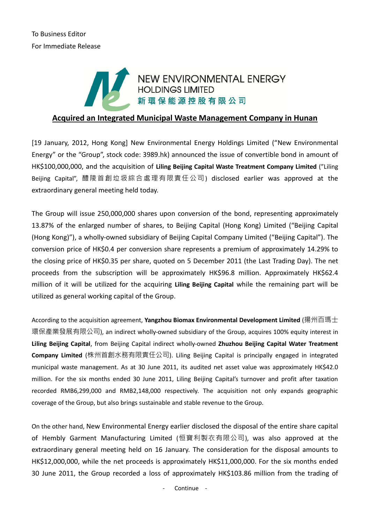# NEW ENVIRONMENTAL ENERGY<br>HOLDINGS LIMITED 新環保能源控股有限公司

## **Acquired an Integrated Municipal Waste Management Company in Hunan**

[19 January, 2012, Hong Kong] New Environmental Energy Holdings Limited ("New Environmental Energy" or the "Group", stock code: 3989.hk) announced the issue of convertible bond in amount of HK\$100,000,000, and the acquisition of **Liling Beijing Capital Waste Treatment Company Limited** ("Liling Beijing Capital", 醴陵首創垃圾綜合處理有限責任公司) disclosed earlier was approved at the extraordinary general meeting held today.

The Group will issue 250,000,000 shares upon conversion of the bond, representing approximately 13.87% of the enlarged number of shares, to Beijing Capital (Hong Kong) Limited ("Beijing Capital (Hong Kong)"), a wholly-owned subsidiary of Beijing Capital Company Limited ("Beijing Capital"). The conversion price of HK\$0.4 per conversion share represents a premium of approximately 14.29% to the closing price of HK\$0.35 per share, quoted on 5 December 2011 (the Last Trading Day). The net proceeds from the subscription will be approximately HK\$96.8 million. Approximately HK\$62.4 million of it will be utilized for the acquiring **Liling Beijing Capital** while the remaining part will be utilized as general working capital of the Group.

According to the acquisition agreement, **Yangzhou Biomax Environmental Development Limited** (揚州百瑪士 環保產業發展有限公司), an indirect wholly-owned subsidiary of the Group, acquires 100% equity interest in **Liling Beijing Capital**, from Beijing Capital indirect wholly-owned **Zhuzhou Beijing Capital Water Treatment Company Limited** (株州首創水務有限責任公司). Liling Beijing Capital is principally engaged in integrated municipal waste management. As at 30 June 2011, its audited net asset value was approximately HK\$42.0 million. For the six months ended 30 June 2011, Liling Beijing Capital's turnover and profit after taxation recorded RMB6,299,000 and RMB2,148,000 respectively. The acquisition not only expands geographic coverage of the Group, but also brings sustainable and stable revenue to the Group.

On the other hand, New Environmental Energy earlier disclosed the disposal of the entire share capital of Hembly Garment Manufacturing Limited (恒寶利製衣有限公司), was also approved at the extraordinary general meeting held on 16 January. The consideration for the disposal amounts to HK\$12,000,000, while the net proceeds is approximately HK\$11,000,000. For the six months ended 30 June 2011, the Group recorded a loss of approximately HK\$103.86 million from the trading of